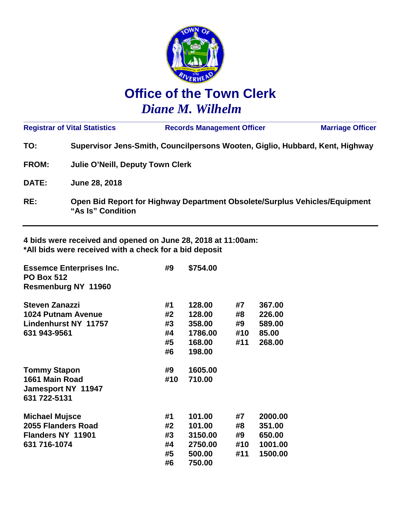

# **Office of the Town Clerk** *Diane M. Wilhelm*

|              | <b>Registrar of Vital Statistics</b>    | <b>Records Management Officer</b>                                            | <b>Marriage Officer</b> |  |  |
|--------------|-----------------------------------------|------------------------------------------------------------------------------|-------------------------|--|--|
| TO:          |                                         | Supervisor Jens-Smith, Councilpersons Wooten, Giglio, Hubbard, Kent, Highway |                         |  |  |
| <b>FROM:</b> | <b>Julie O'Neill, Deputy Town Clerk</b> |                                                                              |                         |  |  |
| <b>DATE:</b> | June 28, 2018                           |                                                                              |                         |  |  |
| RE:          | "As Is" Condition                       | Open Bid Report for Highway Department Obsolete/Surplus Vehicles/Equipment   |                         |  |  |

**4 bids were received and opened on June 28, 2018 at 11:00am: \*All bids were received with a check for a bid deposit**

| <b>Essemce Enterprises Inc.</b><br><b>PO Box 512</b> | #9  | \$754.00 |     |         |
|------------------------------------------------------|-----|----------|-----|---------|
| <b>Resmenburg NY 11960</b>                           |     |          |     |         |
| <b>Steven Zanazzi</b>                                | #1  | 128.00   | #7  | 367.00  |
| <b>1024 Putnam Avenue</b>                            | #2  | 128.00   | #8  | 226.00  |
| <b>Lindenhurst NY 11757</b>                          | #3  | 358,00   | #9  | 589.00  |
| 631 943-9561                                         | #4  | 1786.00  | #10 | 85.00   |
|                                                      | #5  | 168,00   | #11 | 268.00  |
|                                                      | #6  | 198.00   |     |         |
| <b>Tommy Stapon</b>                                  | #9  | 1605.00  |     |         |
| 1661 Main Road                                       | #10 | 710.00   |     |         |
| <b>Jamesport NY 11947</b>                            |     |          |     |         |
| 631 722-5131                                         |     |          |     |         |
| <b>Michael Mujsce</b>                                | #1  | 101.00   | #7  | 2000.00 |
| 2055 Flanders Road                                   | #2  | 101.00   | #8  | 351.00  |
| <b>Flanders NY 11901</b>                             | #3  | 3150.00  | #9  | 650.00  |
| 631 716-1074                                         | #4  | 2750.00  | #10 | 1001.00 |
|                                                      | #5  | 500.00   | #11 | 1500.00 |
|                                                      | #6  | 750.00   |     |         |
|                                                      |     |          |     |         |